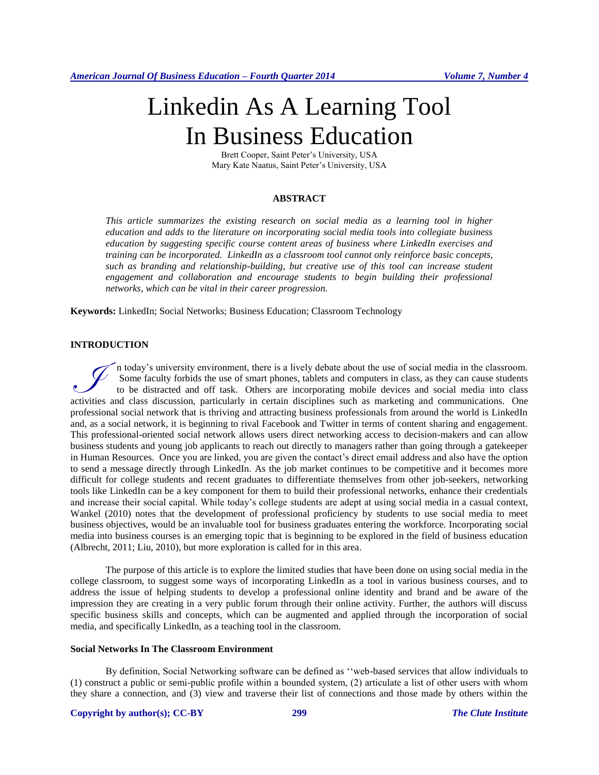# Linkedin As A Learning Tool In Business Education

Brett Cooper, Saint Peter's University, USA Mary Kate Naatus, Saint Peter's University, USA

# **ABSTRACT**

*This article summarizes the existing research on social media as a learning tool in higher education and adds to the literature on incorporating social media tools into collegiate business education by suggesting specific course content areas of business where LinkedIn exercises and training can be incorporated. LinkedIn as a classroom tool cannot only reinforce basic concepts, such as branding and relationship-building, but creative use of this tool can increase student*  engagement and collaboration and encourage students to begin building their professional *networks, which can be vital in their career progression.*

**Keywords:** LinkedIn; Social Networks; Business Education; Classroom Technology

# **INTRODUCTION**

n today's university environment, there is a lively debate about the use of social media in the classroom. Some faculty forbids the use of smart phones, tablets and computers in class, as they can cause students to be distracted and off task. Others are incorporating mobile devices and social media into class The today's university environment, there is a lively debate about the use of social media in the classroom.<br>
Some faculty forbids the use of smart phones, tablets and computers in class, as they can cause students<br>
to be professional social network that is thriving and attracting business professionals from around the world is LinkedIn and, as a social network, it is beginning to rival Facebook and Twitter in terms of content sharing and engagement. This professional-oriented social network allows users direct networking access to decision-makers and can allow business students and young job applicants to reach out directly to managers rather than going through a gatekeeper in Human Resources. Once you are linked, you are given the contact's direct email address and also have the option to send a message directly through LinkedIn. As the job market continues to be competitive and it becomes more difficult for college students and recent graduates to differentiate themselves from other job-seekers, networking tools like LinkedIn can be a key component for them to build their professional networks, enhance their credentials and increase their social capital. While today's college students are adept at using social media in a casual context, Wankel (2010) notes that the development of professional proficiency by students to use social media to meet business objectives, would be an invaluable tool for business graduates entering the workforce. Incorporating social media into business courses is an emerging topic that is beginning to be explored in the field of business education (Albrecht, 2011; Liu, 2010), but more exploration is called for in this area.

The purpose of this article is to explore the limited studies that have been done on using social media in the college classroom, to suggest some ways of incorporating LinkedIn as a tool in various business courses, and to address the issue of helping students to develop a professional online identity and brand and be aware of the impression they are creating in a very public forum through their online activity. Further, the authors will discuss specific business skills and concepts, which can be augmented and applied through the incorporation of social media, and specifically LinkedIn, as a teaching tool in the classroom.

#### **Social Networks In The Classroom Environment**

By definition, Social Networking software can be defined as ''web-based services that allow individuals to (1) construct a public or semi-public profile within a bounded system, (2) articulate a list of other users with whom they share a connection, and (3) view and traverse their list of connections and those made by others within the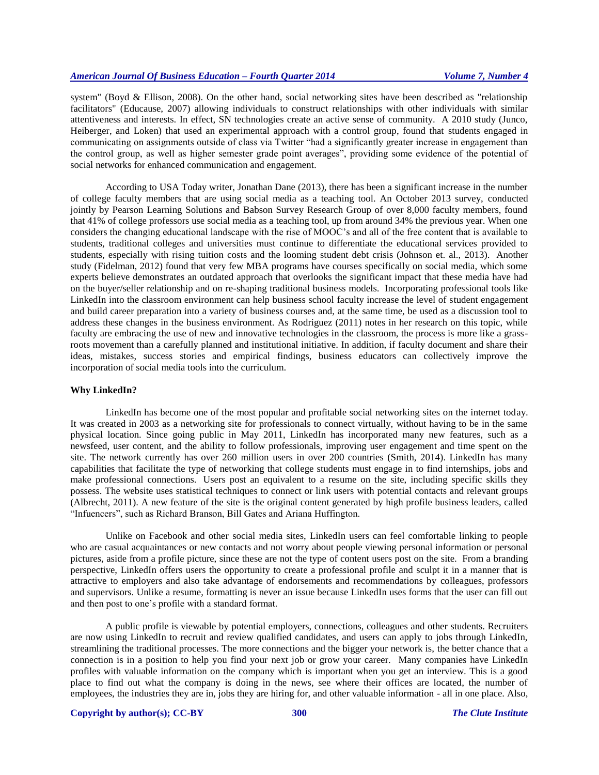system" (Boyd & Ellison, 2008). On the other hand, social networking sites have been described as "relationship facilitators" (Educause, 2007) allowing individuals to construct relationships with other individuals with similar attentiveness and interests. In effect, SN technologies create an active sense of community. A 2010 study (Junco, Heiberger, and Loken) that used an experimental approach with a control group, found that students engaged in communicating on assignments outside of class via Twitter "had a significantly greater increase in engagement than the control group, as well as higher semester grade point averages", providing some evidence of the potential of social networks for enhanced communication and engagement.

According to USA Today writer, Jonathan Dane (2013), there has been a significant increase in the number of college faculty members that are using social media as a teaching tool. An October 2013 survey, conducted jointly by Pearson Learning Solutions and Babson Survey Research Group of over 8,000 faculty members, found that 41% of college professors use social media as a teaching tool, up from around 34% the previous year. When one considers the changing educational landscape with the rise of MOOC's and all of the free content that is available to students, traditional colleges and universities must continue to differentiate the educational services provided to students, especially with rising tuition costs and the looming student debt crisis (Johnson et. al., 2013). Another study (Fidelman, 2012) found that very few MBA programs have courses specifically on social media, which some experts believe demonstrates an outdated approach that overlooks the significant impact that these media have had on the buyer/seller relationship and on re-shaping traditional business models. Incorporating professional tools like LinkedIn into the classroom environment can help business school faculty increase the level of student engagement and build career preparation into a variety of business courses and, at the same time, be used as a discussion tool to address these changes in the business environment. As Rodriguez (2011) notes in her research on this topic, while faculty are embracing the use of new and innovative technologies in the classroom, the process is more like a grassroots movement than a carefully planned and institutional initiative. In addition, if faculty document and share their ideas, mistakes, success stories and empirical findings, business educators can collectively improve the incorporation of social media tools into the curriculum.

## **Why LinkedIn?**

LinkedIn has become one of the most popular and profitable social networking sites on the internet today. It was created in 2003 as a networking site for professionals to connect virtually, without having to be in the same physical location. Since going public in May 2011, LinkedIn has incorporated many new features, such as a newsfeed, user content, and the ability to follow professionals, improving user engagement and time spent on the site. The network currently has over 260 million users in over 200 countries (Smith, 2014). LinkedIn has many capabilities that facilitate the type of networking that college students must engage in to find internships, jobs and make professional connections. Users post an equivalent to a resume on the site, including specific skills they possess. The website uses statistical techniques to connect or link users with potential contacts and relevant groups (Albrecht, 2011). A new feature of the site is the original content generated by high profile business leaders, called "Infuencers", such as Richard Branson, Bill Gates and Ariana Huffington.

Unlike on Facebook and other social media sites, LinkedIn users can feel comfortable linking to people who are casual acquaintances or new contacts and not worry about people viewing personal information or personal pictures, aside from a profile picture, since these are not the type of content users post on the site. From a branding perspective, LinkedIn offers users the opportunity to create a professional profile and sculpt it in a manner that is attractive to employers and also take advantage of endorsements and recommendations by colleagues, professors and supervisors. Unlike a resume, formatting is never an issue because LinkedIn uses forms that the user can fill out and then post to one's profile with a standard format.

A public profile is viewable by potential employers, connections, colleagues and other students. Recruiters are now using LinkedIn to recruit and review qualified candidates, and users can apply to jobs through LinkedIn, streamlining the traditional processes. The more connections and the bigger your network is, the better chance that a connection is in a position to help you find your next job or grow your career. Many companies have LinkedIn profiles with valuable information on the company which is important when you get an interview. This is a good place to find out what the company is doing in the news, see where their offices are located, the number of employees, the industries they are in, jobs they are hiring for, and other valuable information - all in one place. Also,

## **Copyright by author(s)[; CC-BY](http://creativecommons.org/licenses/by/3.0/) 300** *[The Clute Institute](http://www.cluteinstitute.com/)*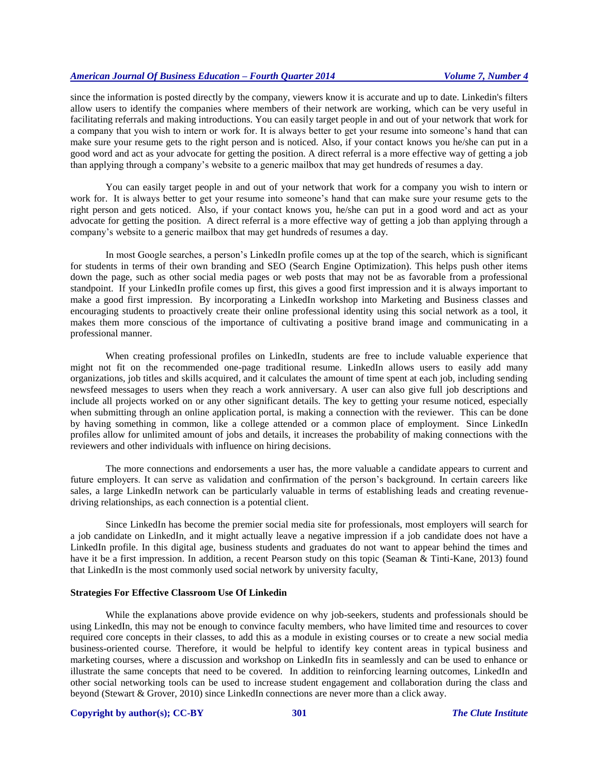since the information is posted directly by the company, viewers know it is accurate and up to date. Linkedin's filters allow users to identify the companies where members of their network are working, which can be very useful in facilitating referrals and making introductions. You can easily target people in and out of your network that work for a company that you wish to intern or work for. It is always better to get your resume into someone's hand that can make sure your resume gets to the right person and is noticed. Also, if your contact knows you he/she can put in a good word and act as your advocate for getting the position. A direct referral is a more effective way of getting a job than applying through a company's website to a generic mailbox that may get hundreds of resumes a day.

You can easily target people in and out of your network that work for a company you wish to intern or work for. It is always better to get your resume into someone's hand that can make sure your resume gets to the right person and gets noticed. Also, if your contact knows you, he/she can put in a good word and act as your advocate for getting the position. A direct referral is a more effective way of getting a job than applying through a company's website to a generic mailbox that may get hundreds of resumes a day.

In most Google searches, a person's LinkedIn profile comes up at the top of the search, which is significant for students in terms of their own branding and SEO (Search Engine Optimization). This helps push other items down the page, such as other social media pages or web posts that may not be as favorable from a professional standpoint. If your LinkedIn profile comes up first, this gives a good first impression and it is always important to make a good first impression. By incorporating a LinkedIn workshop into Marketing and Business classes and encouraging students to proactively create their online professional identity using this social network as a tool, it makes them more conscious of the importance of cultivating a positive brand image and communicating in a professional manner.

When creating professional profiles on LinkedIn, students are free to include valuable experience that might not fit on the recommended one-page traditional resume. LinkedIn allows users to easily add many organizations, job titles and skills acquired, and it calculates the amount of time spent at each job, including sending newsfeed messages to users when they reach a work anniversary. A user can also give full job descriptions and include all projects worked on or any other significant details. The key to getting your resume noticed, especially when submitting through an online application portal, is making a connection with the reviewer. This can be done by having something in common, like a college attended or a common place of employment. Since LinkedIn profiles allow for unlimited amount of jobs and details, it increases the probability of making connections with the reviewers and other individuals with influence on hiring decisions.

The more connections and endorsements a user has, the more valuable a candidate appears to current and future employers. It can serve as validation and confirmation of the person's background. In certain careers like sales, a large LinkedIn network can be particularly valuable in terms of establishing leads and creating revenuedriving relationships, as each connection is a potential client.

Since LinkedIn has become the premier social media site for professionals, most employers will search for a job candidate on LinkedIn, and it might actually leave a negative impression if a job candidate does not have a LinkedIn profile. In this digital age, business students and graduates do not want to appear behind the times and have it be a first impression. In addition, a recent Pearson study on this topic (Seaman & Tinti-Kane, 2013) found that LinkedIn is the most commonly used social network by university faculty,

## **Strategies For Effective Classroom Use Of Linkedin**

While the explanations above provide evidence on why job-seekers, students and professionals should be using LinkedIn, this may not be enough to convince faculty members, who have limited time and resources to cover required core concepts in their classes, to add this as a module in existing courses or to create a new social media business-oriented course. Therefore, it would be helpful to identify key content areas in typical business and marketing courses, where a discussion and workshop on LinkedIn fits in seamlessly and can be used to enhance or illustrate the same concepts that need to be covered. In addition to reinforcing learning outcomes, LinkedIn and other social networking tools can be used to increase student engagement and collaboration during the class and beyond (Stewart & Grover, 2010) since LinkedIn connections are never more than a click away.

#### **Copyright by author(s)[; CC-BY](http://creativecommons.org/licenses/by/3.0/) 301** *[The Clute Institute](http://www.cluteinstitute.com/)*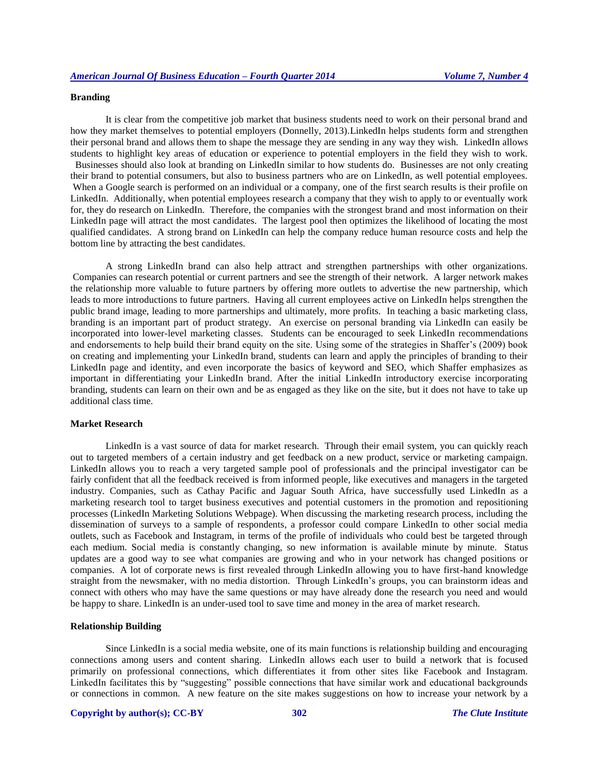## **Branding**

It is clear from the competitive job market that business students need to work on their personal brand and how they market themselves to potential employers (Donnelly, 2013).LinkedIn helps students form and strengthen their personal brand and allows them to shape the message they are sending in any way they wish. LinkedIn allows students to highlight key areas of education or experience to potential employers in the field they wish to work.

 Businesses should also look at branding on LinkedIn similar to how students do. Businesses are not only creating their brand to potential consumers, but also to business partners who are on LinkedIn, as well potential employees. When a Google search is performed on an individual or a company, one of the first search results is their profile on LinkedIn. Additionally, when potential employees research a company that they wish to apply to or eventually work for, they do research on LinkedIn. Therefore, the companies with the strongest brand and most information on their LinkedIn page will attract the most candidates. The largest pool then optimizes the likelihood of locating the most qualified candidates. A strong brand on LinkedIn can help the company reduce human resource costs and help the bottom line by attracting the best candidates.

A strong LinkedIn brand can also help attract and strengthen partnerships with other organizations. Companies can research potential or current partners and see the strength of their network. A larger network makes the relationship more valuable to future partners by offering more outlets to advertise the new partnership, which leads to more introductions to future partners. Having all current employees active on LinkedIn helps strengthen the public brand image, leading to more partnerships and ultimately, more profits. In teaching a basic marketing class, branding is an important part of product strategy. An exercise on personal branding via LinkedIn can easily be incorporated into lower-level marketing classes. Students can be encouraged to seek LinkedIn recommendations and endorsements to help build their brand equity on the site. Using some of the strategies in Shaffer's (2009) book on creating and implementing your LinkedIn brand, students can learn and apply the principles of branding to their LinkedIn page and identity, and even incorporate the basics of keyword and SEO, which Shaffer emphasizes as important in differentiating your LinkedIn brand. After the initial LinkedIn introductory exercise incorporating branding, students can learn on their own and be as engaged as they like on the site, but it does not have to take up additional class time.

#### **Market Research**

LinkedIn is a vast source of data for market research. Through their email system, you can quickly reach out to targeted members of a certain industry and get feedback on a new product, service or marketing campaign. LinkedIn allows you to reach a very targeted sample pool of professionals and the principal investigator can be fairly confident that all the feedback received is from informed people, like executives and managers in the targeted industry. Companies, such as Cathay Pacific and Jaguar South Africa, have successfully used LinkedIn as a marketing research tool to target business executives and potential customers in the promotion and repositioning processes (LinkedIn Marketing Solutions Webpage). When discussing the marketing research process, including the dissemination of surveys to a sample of respondents, a professor could compare LinkedIn to other social media outlets, such as Facebook and Instagram, in terms of the profile of individuals who could best be targeted through each medium. Social media is constantly changing, so new information is available minute by minute. Status updates are a good way to see what companies are growing and who in your network has changed positions or companies. A lot of corporate news is first revealed through LinkedIn allowing you to have first-hand knowledge straight from the newsmaker, with no media distortion. Through LinkedIn's groups, you can brainstorm ideas and connect with others who may have the same questions or may have already done the research you need and would be happy to share. LinkedIn is an under-used tool to save time and money in the area of market research.

#### **Relationship Building**

Since LinkedIn is a social media website, one of its main functions is relationship building and encouraging connections among users and content sharing. LinkedIn allows each user to build a network that is focused primarily on professional connections, which differentiates it from other sites like Facebook and Instagram. LinkedIn facilitates this by "suggesting" possible connections that have similar work and educational backgrounds or connections in common. A new feature on the site makes suggestions on how to increase your network by a

## **Copyright by author(s)[; CC-BY](http://creativecommons.org/licenses/by/3.0/) 302** *[The Clute Institute](http://www.cluteinstitute.com/)*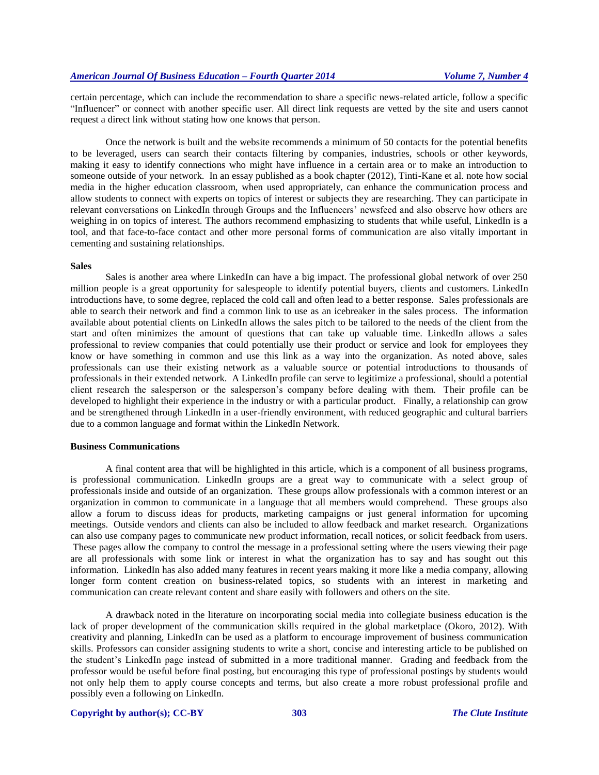certain percentage, which can include the recommendation to share a specific news-related article, follow a specific "Influencer" or connect with another specific user. All direct link requests are vetted by the site and users cannot request a direct link without stating how one knows that person.

Once the network is built and the website recommends a minimum of 50 contacts for the potential benefits to be leveraged, users can search their contacts filtering by companies, industries, schools or other keywords, making it easy to identify connections who might have influence in a certain area or to make an introduction to someone outside of your network. In an essay published as a book chapter (2012), Tinti-Kane et al. note how social media in the higher education classroom, when used appropriately, can enhance the communication process and allow students to connect with experts on topics of interest or subjects they are researching. They can participate in relevant conversations on LinkedIn through Groups and the Influencers' newsfeed and also observe how others are weighing in on topics of interest. The authors recommend emphasizing to students that while useful, LinkedIn is a tool, and that face-to-face contact and other more personal forms of communication are also vitally important in cementing and sustaining relationships.

#### **Sales**

Sales is another area where LinkedIn can have a big impact. The professional global network of over 250 million people is a great opportunity for salespeople to identify potential buyers, clients and customers. LinkedIn introductions have, to some degree, replaced the cold call and often lead to a better response. Sales professionals are able to search their network and find a common link to use as an icebreaker in the sales process. The information available about potential clients on LinkedIn allows the sales pitch to be tailored to the needs of the client from the start and often minimizes the amount of questions that can take up valuable time. LinkedIn allows a sales professional to review companies that could potentially use their product or service and look for employees they know or have something in common and use this link as a way into the organization. As noted above, sales professionals can use their existing network as a valuable source or potential introductions to thousands of professionals in their extended network. A LinkedIn profile can serve to legitimize a professional, should a potential client research the salesperson or the salesperson's company before dealing with them. Their profile can be developed to highlight their experience in the industry or with a particular product. Finally, a relationship can grow and be strengthened through LinkedIn in a user-friendly environment, with reduced geographic and cultural barriers due to a common language and format within the LinkedIn Network.

#### **Business Communications**

A final content area that will be highlighted in this article, which is a component of all business programs, is professional communication. LinkedIn groups are a great way to communicate with a select group of professionals inside and outside of an organization. These groups allow professionals with a common interest or an organization in common to communicate in a language that all members would comprehend. These groups also allow a forum to discuss ideas for products, marketing campaigns or just general information for upcoming meetings. Outside vendors and clients can also be included to allow feedback and market research. Organizations can also use company pages to communicate new product information, recall notices, or solicit feedback from users. These pages allow the company to control the message in a professional setting where the users viewing their page are all professionals with some link or interest in what the organization has to say and has sought out this information. LinkedIn has also added many features in recent years making it more like a media company, allowing longer form content creation on business-related topics, so students with an interest in marketing and communication can create relevant content and share easily with followers and others on the site.

A drawback noted in the literature on incorporating social media into collegiate business education is the lack of proper development of the communication skills required in the global marketplace (Okoro, 2012). With creativity and planning, LinkedIn can be used as a platform to encourage improvement of business communication skills. Professors can consider assigning students to write a short, concise and interesting article to be published on the student's LinkedIn page instead of submitted in a more traditional manner. Grading and feedback from the professor would be useful before final posting, but encouraging this type of professional postings by students would not only help them to apply course concepts and terms, but also create a more robust professional profile and possibly even a following on LinkedIn.

#### **Copyright by author(s)[; CC-BY](http://creativecommons.org/licenses/by/3.0/) 303** *[The Clute Institute](http://www.cluteinstitute.com/)*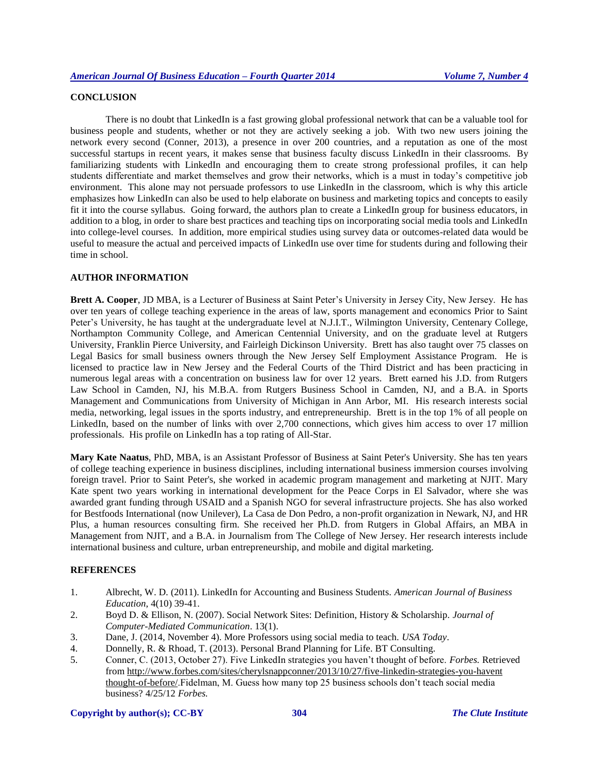# **CONCLUSION**

There is no doubt that LinkedIn is a fast growing global professional network that can be a valuable tool for business people and students, whether or not they are actively seeking a job. With two new users joining the network every second (Conner, 2013), a presence in over 200 countries, and a reputation as one of the most successful startups in recent years, it makes sense that business faculty discuss LinkedIn in their classrooms. By familiarizing students with LinkedIn and encouraging them to create strong professional profiles, it can help students differentiate and market themselves and grow their networks, which is a must in today's competitive job environment. This alone may not persuade professors to use LinkedIn in the classroom, which is why this article emphasizes how LinkedIn can also be used to help elaborate on business and marketing topics and concepts to easily fit it into the course syllabus. Going forward, the authors plan to create a LinkedIn group for business educators, in addition to a blog, in order to share best practices and teaching tips on incorporating social media tools and LinkedIn into college-level courses. In addition, more empirical studies using survey data or outcomes-related data would be useful to measure the actual and perceived impacts of LinkedIn use over time for students during and following their time in school.

## **AUTHOR INFORMATION**

**Brett A. Cooper**, JD MBA, is a Lecturer of Business at Saint Peter's University in Jersey City, New Jersey. He has over ten years of college teaching experience in the areas of law, sports management and economics Prior to Saint Peter's University, he has taught at the undergraduate level at N.J.I.T., Wilmington University, Centenary College, Northampton Community College, and American Centennial University, and on the graduate level at Rutgers University, Franklin Pierce University, and Fairleigh Dickinson University. Brett has also taught over 75 classes on Legal Basics for small business owners through the New Jersey Self Employment Assistance Program. He is licensed to practice law in New Jersey and the Federal Courts of the Third District and has been practicing in numerous legal areas with a concentration on business law for over 12 years. Brett earned his J.D. from Rutgers Law School in Camden, NJ, his M.B.A. from Rutgers Business School in Camden, NJ, and a B.A. in Sports Management and Communications from University of Michigan in Ann Arbor, MI. His research interests social media, networking, legal issues in the sports industry, and entrepreneurship. Brett is in the top 1% of all people on LinkedIn, based on the number of links with over 2,700 connections, which gives him access to over 17 million professionals. His profile on LinkedIn has a top rating of All-Star.

**Mary Kate Naatus**, PhD, MBA, is an Assistant Professor of Business at Saint Peter's University. She has ten years of college teaching experience in business disciplines, including international business immersion courses involving foreign travel. Prior to Saint Peter's, she worked in academic program management and marketing at NJIT. Mary Kate spent two years working in international development for the Peace Corps in El Salvador, where she was awarded grant funding through USAID and a Spanish NGO for several infrastructure projects. She has also worked for Bestfoods International (now Unilever), La Casa de Don Pedro, a non-profit organization in Newark, NJ, and HR Plus, a human resources consulting firm. She received her Ph.D. from Rutgers in Global Affairs, an MBA in Management from NJIT, and a B.A. in Journalism from The College of New Jersey. Her research interests include international business and culture, urban entrepreneurship, and mobile and digital marketing.

# **REFERENCES**

- 1. Albrecht, W. D. (2011). LinkedIn for Accounting and Business Students. *American Journal of Business Education*, 4(10) 39-41.
- 2. Boyd D. & Ellison, N. (2007). Social Network Sites: Definition, History & Scholarship. *Journal of Computer-Mediated Communication*. 13(1).
- 3. Dane, J. (2014, November 4). More Professors using social media to teach. *USA Today*.
- 4. Donnelly, R. & Rhoad, T. (2013). Personal Brand Planning for Life. BT Consulting.
- 5. Conner, C. (2013, October 27). Five LinkedIn strategies you haven't thought of before. *Forbes.* Retrieved from [http://www.forbes.com/sites/cherylsnappconner/2013/10/27/five-linkedin-strategies-you-havent](http://www.forbes.com/sites/cherylsnappconner/2013/10/27/five-linkedin-strategies-you-havent%20%20%20thought-of-before/)  [thought-of-before/.](http://www.forbes.com/sites/cherylsnappconner/2013/10/27/five-linkedin-strategies-you-havent%20%20%20thought-of-before/)Fidelman, M. Guess how many top 25 business schools don't teach social media business? 4/25/12 *Forbes.*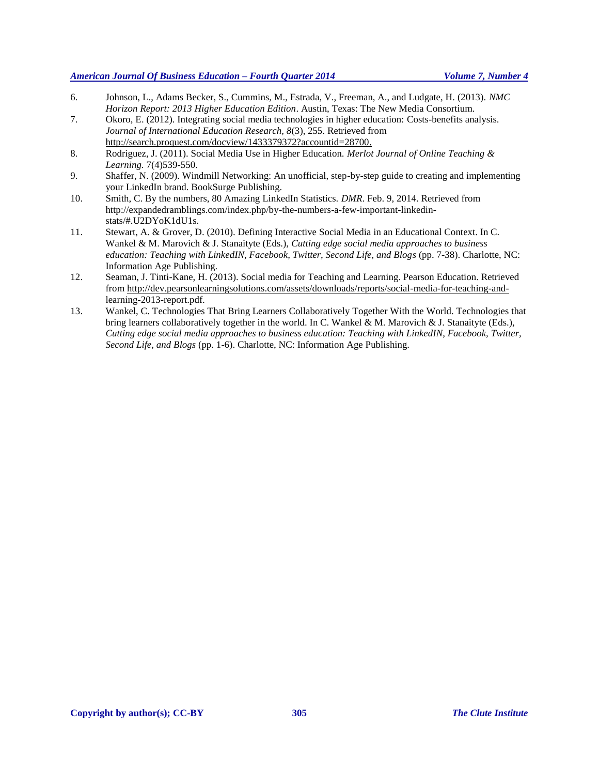# *American Journal Of Business Education – Fourth Quarter 2014 Volume 7, Number 4*

- 6. Johnson, L., Adams Becker, S., Cummins, M., Estrada, V., Freeman, A., and Ludgate, H. (2013). *NMC Horizon Report: 2013 Higher Education Edition*. Austin, Texas: The New Media Consortium.
- 7. Okoro, E. (2012). Integrating social media technologies in higher education: Costs-benefits analysis. *Journal of International Education Research, 8*(3), 255. Retrieved from [http://search.proquest.com/docview/1433379372?accountid=28700.](http://search.proquest.com/docview/1433379372?accountid=28700)
- 8. Rodriguez, J. (2011). Social Media Use in Higher Education. *Merlot Journal of Online Teaching & Learning.* 7(4)539-550.
- 9. Shaffer, N. (2009). Windmill Networking: An unofficial, step-by-step guide to creating and implementing your LinkedIn brand. BookSurge Publishing.
- 10. Smith, C. By the numbers, 80 Amazing LinkedIn Statistics. *DMR*. Feb. 9, 2014. Retrieved from http://expandedramblings.com/index.php/by-the-numbers-a-few-important-linkedinstats/#.U2DYoK1dU1s.
- 11. Stewart, A. & Grover, D. (2010). Defining Interactive Social Media in an Educational Context. In C. Wankel & M. Marovich & J. Stanaityte (Eds.), *Cutting edge social media approaches to business education: Teaching with LinkedIN, Facebook, Twitter, Second Life, and Blogs* (pp. 7-38). Charlotte, NC: Information Age Publishing.
- 12. Seaman, J. Tinti-Kane, H. (2013). Social media for Teaching and Learning. Pearson Education. Retrieved from [http://dev.pearsonlearningsolutions.com/assets/downloads/reports/social-media-for-teaching-and](http://dev.pearsonlearningsolutions.com/assets/downloads/reports/social-media-for-teaching-and-)learning-2013-report.pdf.
- 13. Wankel, C. Technologies That Bring Learners Collaboratively Together With the World. Technologies that bring learners collaboratively together in the world. In C. Wankel & M. Marovich & J. Stanaityte (Eds.), *Cutting edge social media approaches to business education: Teaching with LinkedIN, Facebook, Twitter, Second Life, and Blogs* (pp. 1-6). Charlotte, NC: Information Age Publishing.